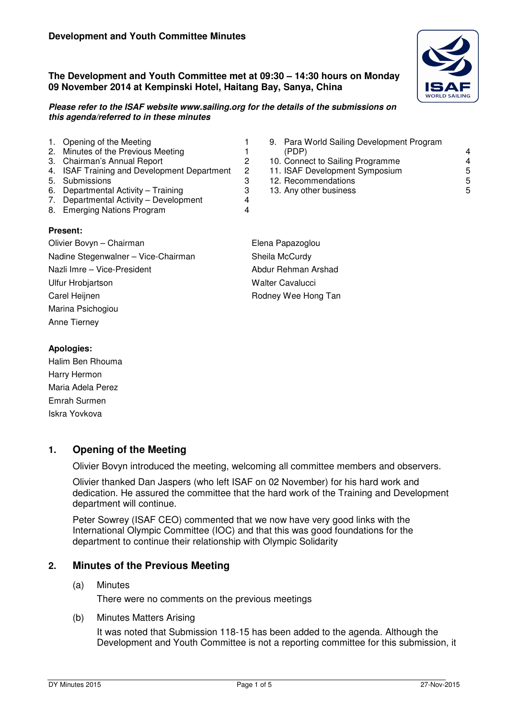**The Development and Youth Committee met at 09:30 – 14:30 hours on Monday 09 November 2014 at Kempinski Hotel, Haitang Bay, Sanya, China** 

#### **Please refer to the ISAF website www.sailing.org for the details of the submissions on this agenda/referred to in these minutes**

|                                     | 1. Opening of the Meeting                   |                  | 9. Para Wo   |  |
|-------------------------------------|---------------------------------------------|------------------|--------------|--|
|                                     | 2. Minutes of the Previous Meeting          |                  | (PDP)        |  |
|                                     | 3. Chairman's Annual Report                 | 2                | 10. Connect  |  |
|                                     | 4. ISAF Training and Development Department | 2                | 11. ISAF De  |  |
|                                     | 5. Submissions                              | 3                | 12. Recomm   |  |
|                                     | 6. Departmental Activity – Training         | 3                | 13. Any othe |  |
|                                     | 7. Departmental Activity - Development      | 4                |              |  |
|                                     | 8. Emerging Nations Program                 | 4                |              |  |
|                                     | <b>Present:</b>                             |                  |              |  |
| Olivier Bovyn - Chairman            |                                             | Elena Papazoglor |              |  |
| Nadine Stegenwalner - Vice-Chairman |                                             | Sheila McCurdy   |              |  |
| Nazli Imre - Vice-President         |                                             | Abdur Rehman A   |              |  |
| <b>Ulfur Hrobjartson</b>            |                                             | Walter Cavalucci |              |  |

- 9. Para World Sailing Development Program (PDP) 4 10. Connect to Sailing Programme<br>11. ISAF Development Symposium<br>5 11. ISAF Development Symposium 5<br>12. Recommendations 5 12. Recommendations 13. Any other business 5
- na Papazoglou eila McCurdy dur Rehman Arshad Carel Heijnen **Rodney Wee Hong Tan**

#### **Apologies:**

Halim Ben Rhouma Harry Hermon Maria Adela Perez Emrah Surmen Iskra Yovkova

Marina Psichogiou Anne Tierney

# **1. Opening of the Meeting**

Olivier Bovyn introduced the meeting, welcoming all committee members and observers.

Olivier thanked Dan Jaspers (who left ISAF on 02 November) for his hard work and dedication. He assured the committee that the hard work of the Training and Development department will continue.

Peter Sowrey (ISAF CEO) commented that we now have very good links with the International Olympic Committee (IOC) and that this was good foundations for the department to continue their relationship with Olympic Solidarity

# **2. Minutes of the Previous Meeting**

(a) Minutes

There were no comments on the previous meetings

(b) Minutes Matters Arising

It was noted that Submission 118-15 has been added to the agenda. Although the Development and Youth Committee is not a reporting committee for this submission, it

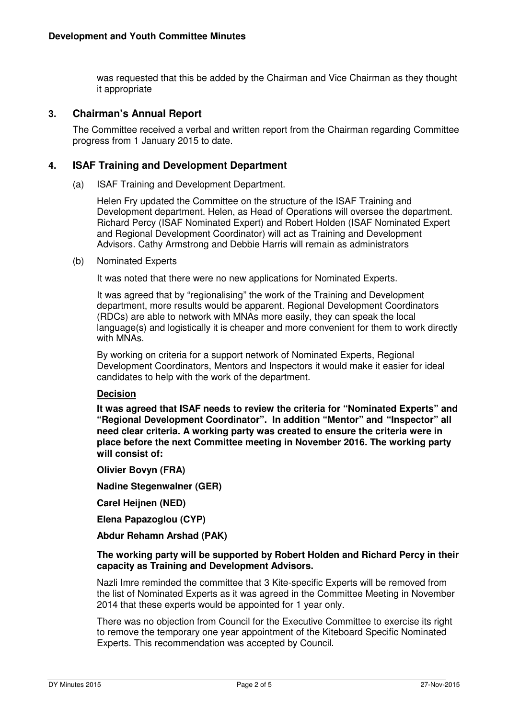was requested that this be added by the Chairman and Vice Chairman as they thought it appropriate

#### **3. Chairman's Annual Report**

The Committee received a verbal and written report from the Chairman regarding Committee progress from 1 January 2015 to date.

#### **4. ISAF Training and Development Department**

(a) ISAF Training and Development Department.

Helen Fry updated the Committee on the structure of the ISAF Training and Development department. Helen, as Head of Operations will oversee the department. Richard Percy (ISAF Nominated Expert) and Robert Holden (ISAF Nominated Expert and Regional Development Coordinator) will act as Training and Development Advisors. Cathy Armstrong and Debbie Harris will remain as administrators

(b) Nominated Experts

It was noted that there were no new applications for Nominated Experts.

It was agreed that by "regionalising" the work of the Training and Development department, more results would be apparent. Regional Development Coordinators (RDCs) are able to network with MNAs more easily, they can speak the local language(s) and logistically it is cheaper and more convenient for them to work directly with MNAs.

By working on criteria for a support network of Nominated Experts, Regional Development Coordinators, Mentors and Inspectors it would make it easier for ideal candidates to help with the work of the department.

# **Decision**

**It was agreed that ISAF needs to review the criteria for "Nominated Experts" and "Regional Development Coordinator". In addition "Mentor" and "Inspector" all need clear criteria. A working party was created to ensure the criteria were in place before the next Committee meeting in November 2016. The working party will consist of:** 

**Olivier Bovyn (FRA)** 

**Nadine Stegenwalner (GER)** 

**Carel Heijnen (NED)** 

**Elena Papazoglou (CYP)** 

**Abdur Rehamn Arshad (PAK)** 

#### **The working party will be supported by Robert Holden and Richard Percy in their capacity as Training and Development Advisors.**

Nazli Imre reminded the committee that 3 Kite-specific Experts will be removed from the list of Nominated Experts as it was agreed in the Committee Meeting in November 2014 that these experts would be appointed for 1 year only.

There was no objection from Council for the Executive Committee to exercise its right to remove the temporary one year appointment of the Kiteboard Specific Nominated Experts. This recommendation was accepted by Council.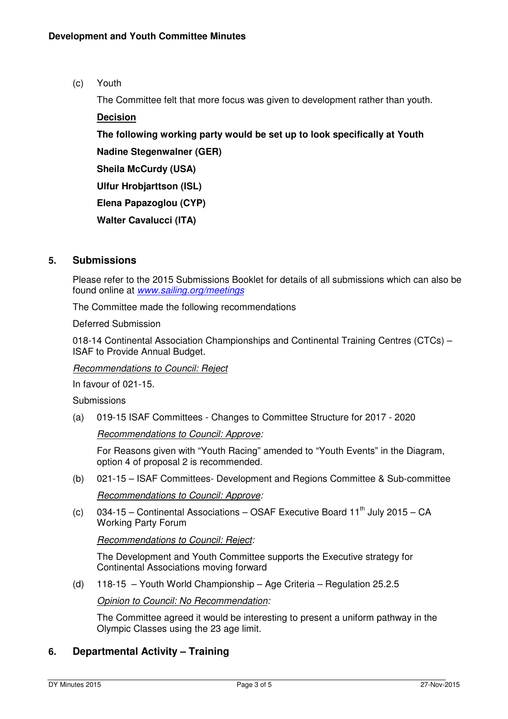(c) Youth

The Committee felt that more focus was given to development rather than youth.

# **Decision The following working party would be set up to look specifically at Youth Nadine Stegenwalner (GER) Sheila McCurdy (USA) Ulfur Hrobjarttson (ISL) Elena Papazoglou (CYP) Walter Cavalucci (ITA)**

# **5. Submissions**

Please refer to the 2015 Submissions Booklet for details of all submissions which can also be found online at *www.sailing.org/meetings*

The Committee made the following recommendations

Deferred Submission

018-14 Continental Association Championships and Continental Training Centres (CTCs) – ISAF to Provide Annual Budget.

#### *Recommendations to Council: Reject*

In favour of 021-15.

**Submissions** 

(a) 019-15 ISAF Committees - Changes to Committee Structure for 2017 - 2020

*Recommendations to Council: Approve:* 

For Reasons given with "Youth Racing" amended to "Youth Events" in the Diagram, option 4 of proposal 2 is recommended.

(b) 021-15 – ISAF Committees- Development and Regions Committee & Sub-committee

*Recommendations to Council: Approve:* 

(c) 034-15 – Continental Associations – OSAF Executive Board 11<sup>th</sup> July 2015 – CA Working Party Forum

*Recommendations to Council: Reject:* 

The Development and Youth Committee supports the Executive strategy for Continental Associations moving forward

(d) 118-15 – Youth World Championship – Age Criteria – Regulation 25.2.5

*Opinion to Council: No Recommendation:* 

The Committee agreed it would be interesting to present a uniform pathway in the Olympic Classes using the 23 age limit.

# **6. Departmental Activity – Training**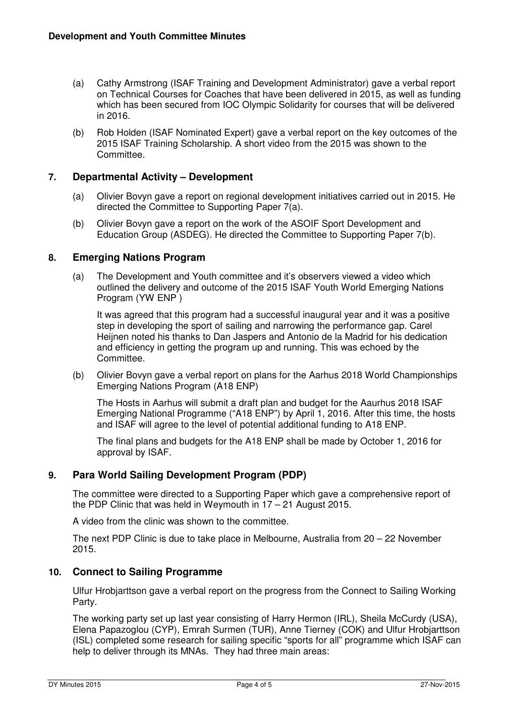- (a) Cathy Armstrong (ISAF Training and Development Administrator) gave a verbal report on Technical Courses for Coaches that have been delivered in 2015, as well as funding which has been secured from IOC Olympic Solidarity for courses that will be delivered in 2016.
- (b) Rob Holden (ISAF Nominated Expert) gave a verbal report on the key outcomes of the 2015 ISAF Training Scholarship. A short video from the 2015 was shown to the Committee.

# **7. Departmental Activity – Development**

- (a) Olivier Bovyn gave a report on regional development initiatives carried out in 2015. He directed the Committee to Supporting Paper 7(a).
- (b) Olivier Bovyn gave a report on the work of the ASOIF Sport Development and Education Group (ASDEG). He directed the Committee to Supporting Paper 7(b).

# **8. Emerging Nations Program**

(a) The Development and Youth committee and it's observers viewed a video which outlined the delivery and outcome of the 2015 ISAF Youth World Emerging Nations Program (YW ENP )

It was agreed that this program had a successful inaugural year and it was a positive step in developing the sport of sailing and narrowing the performance gap. Carel Heijnen noted his thanks to Dan Jaspers and Antonio de la Madrid for his dedication and efficiency in getting the program up and running. This was echoed by the Committee.

(b) Olivier Bovyn gave a verbal report on plans for the Aarhus 2018 World Championships Emerging Nations Program (A18 ENP)

The Hosts in Aarhus will submit a draft plan and budget for the Aaurhus 2018 ISAF Emerging National Programme ("A18 ENP") by April 1, 2016. After this time, the hosts and ISAF will agree to the level of potential additional funding to A18 ENP.

The final plans and budgets for the A18 ENP shall be made by October 1, 2016 for approval by ISAF.

# **9. Para World Sailing Development Program (PDP)**

The committee were directed to a Supporting Paper which gave a comprehensive report of the PDP Clinic that was held in Weymouth in 17 – 21 August 2015.

A video from the clinic was shown to the committee.

The next PDP Clinic is due to take place in Melbourne, Australia from 20 – 22 November 2015.

# **10. Connect to Sailing Programme**

Ulfur Hrobjarttson gave a verbal report on the progress from the Connect to Sailing Working Party.

The working party set up last year consisting of Harry Hermon (IRL), Sheila McCurdy (USA), Elena Papazoglou (CYP), Emrah Surmen (TUR), Anne Tierney (COK) and Ulfur Hrobjarttson (ISL) completed some research for sailing specific "sports for all" programme which ISAF can help to deliver through its MNAs. They had three main areas: